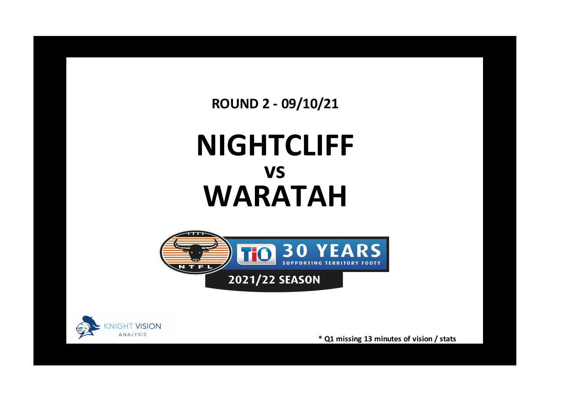**ROUND 2 - 09/10/21**

## **NIGHTCLIFF WARATAH vs**





**\* Q1 missing 13 minutes of vision / stats**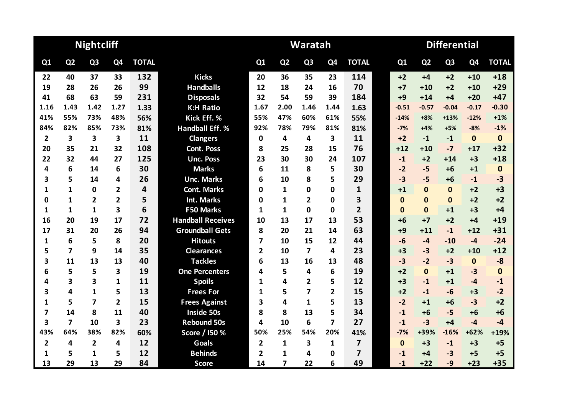|                |                         | <b>Nightcliff</b>       |                |                         |                          |                |                | Waratah        |                         |                | <b>Differential</b> |                |                |                |              |  |  |
|----------------|-------------------------|-------------------------|----------------|-------------------------|--------------------------|----------------|----------------|----------------|-------------------------|----------------|---------------------|----------------|----------------|----------------|--------------|--|--|
| Q1             | Q <sub>2</sub>          | Q <sub>3</sub>          | Q <sub>4</sub> | <b>TOTAL</b>            |                          | Q1             | Q <sub>2</sub> | Q <sub>3</sub> | Q <sub>4</sub>          | <b>TOTAL</b>   | Q1                  | Q <sub>2</sub> | Q <sub>3</sub> | Q <sub>4</sub> | <b>TOTAL</b> |  |  |
| 22             | 40                      | 37                      | 33             | 132                     | <b>Kicks</b>             | 20             | 36             | 35             | 23                      | 114            | $+2$                | $+4$           | $+2$           | $+10$          | $+18$        |  |  |
| 19             | 28                      | 26                      | 26             | 99                      | <b>Handballs</b>         | 12             | 18             | 24             | 16                      | 70             | $+7$                | $+10$          | $+2$           | $+10$          | $+29$        |  |  |
| 41             | 68                      | 63                      | 59             | 231                     | <b>Disposals</b>         | 32             | 54             | 59             | 39                      | 184            | $+9$                | $+14$          | $+4$           | $+20$          | $+47$        |  |  |
| 1.16           | 1.43                    | 1.42                    | 1.27           | 1.33                    | <b>K:H Ratio</b>         | 1.67           | 2.00           | 1.46           | 1.44                    | 1.63           | $-0.51$             | $-0.57$        | $-0.04$        | $-0.17$        | $-0.30$      |  |  |
| 41%            | 55%                     | 73%                     | 48%            | 56%                     | Kick Eff. %              | 55%            | 47%            | 60%            | 61%                     | 55%            | $-14%$              | $+8%$          | $+13%$         | $-12%$         | $+1%$        |  |  |
| 84%            | 82%                     | 85%                     | 73%            | 81%                     | <b>Handball Eff. %</b>   | 92%            | 78%            | 79%            | 81%                     | 81%            | $-7%$               | $+4%$          | $+5%$          | $-8%$          | $-1%$        |  |  |
| $\overline{2}$ | 3                       | $\overline{\mathbf{3}}$ | 3              | 11                      | <b>Clangers</b>          | $\mathbf 0$    | 4              | 4              | $\overline{\mathbf{3}}$ | 11             | $+2$                | $-1$           | $-1$           | $\mathbf{0}$   | $\mathbf 0$  |  |  |
| 20             | 35                      | 21                      | 32             | 108                     | <b>Cont. Poss</b>        | 8              | 25             | 28             | 15                      | 76             | $+12$               | $+10$          | $-7$           | $+17$          | $+32$        |  |  |
| 22             | 32                      | 44                      | 27             | 125                     | <b>Unc. Poss</b>         | 23             | 30             | 30             | 24                      | 107            | $-1$                | $+2$           | $+14$          | $+3$           | $+18$        |  |  |
| 4              | 6                       | 14                      | 6              | 30                      | <b>Marks</b>             | 6              | 11             | 8              | 5                       | 30             | $-2$                | $-5$           | $+6$           | $+1$           | $\mathbf 0$  |  |  |
| 3              | 5                       | 14                      | 4              | 26                      | <b>Unc. Marks</b>        | 6              | 10             | 8              | 5                       | 29             | $-3$                | $-5$           | $+6$           | $-1$           | $-3$         |  |  |
| 1              | $\mathbf{1}$            | $\mathbf 0$             | $\mathbf{2}$   | $\overline{\mathbf{4}}$ | <b>Cont. Marks</b>       | 0              | 1              | 0              | 0                       | $\mathbf{1}$   | $+1$                | $\mathbf{0}$   | $\mathbf{0}$   | $+2$           | $+3$         |  |  |
| 0              | $\mathbf{1}$            | $\overline{2}$          | $\overline{2}$ | 5                       | <b>Int. Marks</b>        | 0              | $\mathbf{1}$   | $\overline{2}$ | $\mathbf 0$             | 3              | $\mathbf{0}$        | $\Omega$       | $\mathbf{0}$   | $+2$           | $+2$         |  |  |
| 1              | 1                       | 1                       | 3              | 6                       | <b>F50 Marks</b>         | 1              | $\mathbf{1}$   | $\Omega$       | $\mathbf{0}$            | $\overline{2}$ | $\Omega$            | $\Omega$       | $+1$           | $+3$           | $+4$         |  |  |
| 16             | 20                      | 19                      | 17             | 72                      | <b>Handball Receives</b> | 10             | 13             | 17             | 13                      | 53             | $+6$                | $+7$           | $+2$           | $+4$           | $+19$        |  |  |
| 17             | 31                      | 20                      | 26             | 94                      | <b>Groundball Gets</b>   | 8              | 20             | 21             | 14                      | 63             | $+9$                | $+11$          | $-1$           | $+12$          | $+31$        |  |  |
| 1              | 6                       | 5                       | 8              | 20                      | <b>Hitouts</b>           | $\overline{7}$ | 10             | 15             | 12                      | 44             | $-6$                | $-4$           | $-10$          | $-4$           | $-24$        |  |  |
| 5              | $\overline{\mathbf{z}}$ | 9                       | 14             | 35                      | <b>Clearances</b>        | $\overline{2}$ | 10             | 7              | 4                       | 23             | $+3$                | $-3$           | $+2$           | $+10$          | $+12$        |  |  |
| 3              | 11                      | 13                      | 13             | 40                      | <b>Tackles</b>           | 6              | 13             | 16             | 13                      | 48             | $-3$                | $-2$           | $-3$           | $\mathbf{0}$   | $-8$         |  |  |
| 6              | 5                       | 5                       | 3              | 19                      | <b>One Percenters</b>    | 4              | 5              | 4              | 6                       | 19             | $+2$                | $\mathbf{0}$   | $+1$           | $-3$           | $\bf{0}$     |  |  |
| 4              | 3                       | $\overline{\mathbf{3}}$ | $\mathbf{1}$   | 11                      | <b>Spoils</b>            | 1              | 4              | $\mathbf{2}$   | 5                       | 12             | $+3$                | $-1$           | $+1$           | $-4$           | $-1$         |  |  |
| 3              | 4                       | $\mathbf{1}$            | 5              | 13                      | <b>Frees For</b>         | 1              | 5              | 7              | 2                       | 15             | $+2$                | $-1$           | $-6$           | $+3$           | $-2$         |  |  |
| 1              | 5                       | $\overline{7}$          | $\overline{2}$ | 15                      | <b>Frees Against</b>     | 3              | 4              | $\mathbf{1}$   | 5                       | 13             | $-2$                | $+1$           | $+6$           | $-3$           | $+2$         |  |  |
| 7              | 14                      | 8                       | 11             | 40                      | <b>Inside 50s</b>        | 8              | 8              | 13             | 5                       | 34             | $-1$                | $+6$           | $-5$           | $+6$           | $+6$         |  |  |
| 3              | $\overline{7}$          | 10                      | 3              | 23                      | <b>Rebound 50s</b>       | 4              | 10             | 6              | $\overline{\mathbf{z}}$ | 27             | $-1$                | $-3$           | $+4$           | $-4$           | $-4$         |  |  |
| 43%            | 64%                     | 38%                     | 82%            | 60%                     | Score / I50 %            | 50%            | 25%            | 54%            | 20%                     | 41%            | $-7%$               | +39%           | $-16%$         | $+62%$         | $+19%$       |  |  |
| $\overline{2}$ | 4                       | $\overline{2}$          | 4              | 12                      | Goals                    | $\overline{2}$ | $\mathbf{1}$   | 3              | $\mathbf{1}$            | $\overline{7}$ | $\mathbf{0}$        | $+3$           | $-1$           | $+3$           | $+5$         |  |  |
| 1              | 5                       | 1                       | 5              | 12                      | <b>Behinds</b>           | $\overline{2}$ | 1              | 4              | 0                       | 7              | $-1$                | $+4$           | $-3$           | $+5$           | $+5$         |  |  |
| 13             | 29                      | 13                      | 29             | 84                      | <b>Score</b>             | 14             | 7              | 22             | 6                       | 49             | $-1$                | $+22$          | $-9$           | $+23$          | $+35$        |  |  |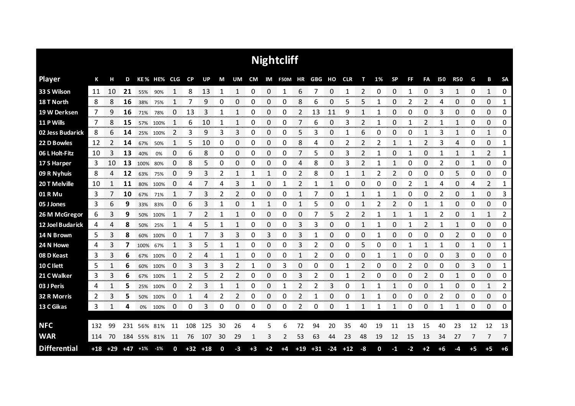| <b>Nightcliff</b>   |       |       |       |             |             |                |       |       |    |              |      |          |            |       |            |       |       |                |    |                |           |                |            |                     |      |                |              |
|---------------------|-------|-------|-------|-------------|-------------|----------------|-------|-------|----|--------------|------|----------|------------|-------|------------|-------|-------|----------------|----|----------------|-----------|----------------|------------|---------------------|------|----------------|--------------|
| <b>Player</b>       | К     | н     | D     |             | KE% HE% CLG |                | CP    | UP    | M  | UM           | CM   |          | IM F50M HR |       | GBG HO CLR |       |       | т              | 1% | <b>SP</b>      | <b>FF</b> | FA             | <b>I50</b> | <b>R50</b>          | G    | В              | <b>SA</b>    |
| 33 S Wilson         | 11    | 10    | 21    | 55%         | 90%         | 1              | 8     | 13    | 1  | 1            | 0    | 0        | 1          | 6     | 7          | 0     | 1     | 2              | 0  | 0              | 1         | 0              | 3          | 1                   | 0    | 1              | $\mathbf{0}$ |
| 18 T North          | 8     | 8     | 16    | 38%         | 75%         |                |       | 9     | 0  | 0            | 0    | 0        | 0          | 8     | 6          | 0     | 5     | 5              | 1  | 0              | 2         | 2              | 4          | 0                   | 0    | 0              | 1            |
| 19 W Derksen        | 7     | 9     | 16    | 71%         | 78%         | 0              | 13    | 3     | 1  | 1            | 0    | 0        | 0          | 2     | 13         | 11    | 9     | 1              | 1  | 0              | 0         | 0              | 3          | 0                   | 0    | 0              | 0            |
| 11 P Wills          | 7     | 8     | 15    | 57%         | 100%        | 1              | 6     | 10    | 1  | 1            | 0    | 0        | 0          | 7     | 6          | 0     | 3     | 2              | 1  | 0              | 1         | 2              |            | $\mathbf{1}$        | 0    | 0              | 0            |
| 02 Jess Budarick    | 8     | 6     | 14    | 25%         | 100%        | $\overline{2}$ | 3     | 9     | 3  | 3            | 0    | 0        | 0          | 5     | 3          | 0     | 1     | 6              | 0  | 0              | 0         | 1              | 3          | 1                   | 0    | 1              | 0            |
| 22 D Bowles         | 12    | 2     | 14    | 67%         | 50%         | 1              | 5     | 10    | 0  | 0            | 0    | 0        | 0          | 8     | 4          | 0     | 2     | 2              | 2  | 1              | 1         | $\overline{2}$ | 3          | 4                   | 0    | 0              | 1            |
| 06 L Holt-Fitz      | 10    | 3     | 13    | 40%         | 0%          | 0              | 6     | 8     | 0  | 0            | 0    | $\Omega$ | 0          | 7     | 5          | 0     | 3     | $\overline{2}$ |    | 0              | 1         | 0              | 1          | 1                   | 1    | $\overline{2}$ | 1            |
| 17 S Harper         | 3     | 10    | 13    | 100%        | 80%         | 0              | 8     | 5     | 0  | 0            | 0    | 0        | 0          | 4     | 8          | 0     | 3     | 2              |    | $\mathbf{1}$   | 0         | 0              | 2          | 0                   | 1    | 0              | 0            |
| 09 R Nyhuis         | 8     | 4     | 12    | 63%         | 75%         | 0              | 9     | 3     | 2  | $\mathbf{1}$ | 1    | 1        | 0          | 2     | 8          | 0     |       | $\mathbf{1}$   | 2  | $\overline{2}$ | 0         | 0              | 0          | 5                   | 0    | 0              | 0            |
| 20 T Melville       | 10    | 1     | 11    | 80%         | 100%        | 0              | 4     |       | 4  | 3            | 1    | 0        |            | 2     |            | 1     | 0     | 0              | 0  | 0              | 2         | 1              | 4          | 0                   | 4    | 2              | 1            |
| 01 R Mu             | 3     |       | 10    | 67%         | 71%         | 1              | 7     | 3     | 2  | 2            | 0    | 0        | 0          | 1     |            | 0     |       | 1              |    | 1              | 0         | 0              | 2          | 0                   | 1    | 0              | 3            |
| 05 J Jones          | 3     | 6     | 9     | 33%         | 83%         | 0              | 6     | 3     | 1  | 0            | 1    | 1        | 0          | 1     | 5          | 0     | 0     | 1              |    | 2              | 0         | 1              | 1          | 0                   | 0    | 0              | 0            |
| 26 M McGregor       | 6     | 3     | 9     | 50%         | 100%        | 1              | 7     | 2     | 1  | 1            | 0    | 0        | 0          | 0     |            | 5     | 2     | 2              | 1  | 1              | 1         | 1              | 2          | 0                   | 1    | 1              | 2            |
| 12 Joel Budarick    | 4     | 4     | 8     | 50%         | 25%         |                | 4     | 5     |    | 1            | 0    | 0        | 0          | 3     | 3          | 0     | Ω     | 1              | 1  | 0              |           | 2              |            | 1<br><b>Seconds</b> | 0    | 0              | 0<br>manan a |
| 14 N Brown          | 5     | 3     | 8     | 60%         | 100%        | 0              | 1     |       | 3  | 3            | 0    | 3        | 0          | 3     |            | 0     | 0     | 0              | 1  | 0              | 0         | 0              | 0          | 2                   | 0    | 0              | 0<br>www.com |
| 24 N Howe           | 4     | 3     | 7     | 100%        | 67%         | 1              | 3     | 5     |    | 1            | 0    | 0        | 0          | 3     | 2          | 0     | O     | 5              | O  | 0              |           | 1              |            | 0                   | 1    | 0              | 1<br>mmm     |
| 08 D Keast          | 3     | 3     | 6     | 67%         | 100%        | 0              | 2     | 4     | 1  | 1            | 0    | 0        | 0          | 1     | 2          | 0     | 0     | 0              | 1  | 1              | 0         | $\Omega$       | 0          | 3                   | 0    | 0              | 0            |
| 10 C I lett         | 5     | 1     | 6     | 60%         | 100%        | 0              | 3     | 3     | 3  | 2            | 1    | 0        | 3          | 0     | 0          | 0     |       | 2              | ი  | 0              | 2         | 0              | 0          | 0                   | 3    | 0              | 1            |
| 21 C Walker         | 3     | 3     | 6     | 67%         | 100%        | 1              | 2     | 5     | 2  | 2            | 0    | 0        | 0          | 3     | 2          | 0     | 1     | 2              | 0  | 0              | 0         | 2              | 0          | $\mathbf{1}$        | 0    | 0              | 0            |
| 03 J Peris          | 4     |       | 5     |             | 25% 100%    | 0              | 2     | 3     | 1  | 1            | 0    | 0        |            | 2     | 2          | 3     | 0     | 1              | 1  | 1              | 0         | 0              | 1          | 0                   | 0    | 1              | 2            |
| 32 R Morris         | 2     | 3     | 5     | 50%         | 100%        | 0              | 1     | 4     | 2  | 2            | 0    | 0        | 0          | 2     | 1          | 0     | 0     | $\mathbf 1$    | 1  | 0              | 0         | 0              | 2          | 0                   | 0    | 0              | 0            |
| 13 C Gikas          | 3     | 1     | 4     |             | 0% 100%     | 0              | 0     | 3     | 0  | 0            | 0    | 0        | 0          | 2     | 0          | 0     | 1     | 1              | 1  | 1              | 0         | 0              | 1          | 1                   | 0    | 0              | 0            |
|                     |       |       |       |             |             |                |       |       |    |              |      |          |            |       |            |       |       |                |    |                |           |                |            |                     |      |                |              |
| <b>NFC</b>          | 132   | 99    | 231   | 56%         | 81%         | 11             | 108   | 125   | 30 | 26           | 4    | 5        | 6          | 72    | 94         | 20    | 35    | 40             | 19 | 11             | 13        | 15             | 40         | 23                  | 12   | 12             | 13           |
| <b>WAR</b>          | 114   | 70    |       | 184 55% 81% |             | 11             | 76    | 107   | 30 | 29           | 1    | 3        | 2          | 53    | 63         | 44    | 23    | 48             | 19 | 12             | 15        | 13             | 34         | 27                  | 7    | 7              | 7            |
| <b>Differential</b> | $+18$ | $+29$ | $+47$ | $+1%$       | $-1%$       | 0              | $+32$ | $+18$ | 0  | -3           | $+3$ | $+2$     | $+4$       | $+19$ | $+31$      | $-24$ | $+12$ | -8             | 0  | $-1$           | $-2$      | $+2$           | $+6$       | -4                  | $+5$ | $+5$           | $+6$         |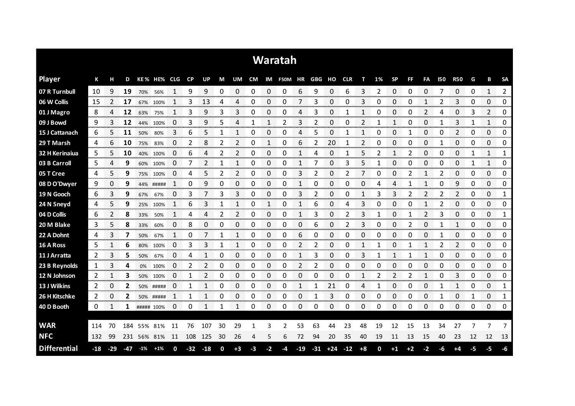|                     | Waratah |       |     |            |             |    |       |       |    |                |    |    |            |       |        |       |            |      |                |           |                |                |            |                |    |                |                |
|---------------------|---------|-------|-----|------------|-------------|----|-------|-------|----|----------------|----|----|------------|-------|--------|-------|------------|------|----------------|-----------|----------------|----------------|------------|----------------|----|----------------|----------------|
| <b>Player</b>       | К       | н     | D   |            | KE% HE% CLG |    | CP    | UP    | M  | UM             | CM |    | IM F50M HR |       | GBG HO |       | <b>CLR</b> | т    | 1%             | <b>SP</b> | <b>FF</b>      | FA             | <b>I50</b> | <b>R50</b>     | G  | В              | <b>SA</b>      |
| 07 R Turnbull       | 10      | 9     | 19  | 70%        | 56%         | 1  | 9     | 9     | 0  | 0              | 0  | 0  | 0          | 6     | 9      | 0     | 6          | 3    | $\overline{2}$ | 0         | 0              | 0              | 7          | 0              | 0  | 1              | $\overline{2}$ |
| 06 W Collis         | 15      | 2     | 17  | 67%        | 100%        |    | 3     | 13    | 4  | 4              | 0  | 0  | 0          | 7     | 3      | 0     | 0          | 3    | 0              | 0         | 0              |                | 2          | 3              | 0  | 0              | 0              |
| 01 J Magro          | 8       | 4     | 12  | 63%        | 75%         | 1  | 3     | 9     | 3  | 3              | 0  | 0  | 0          | 4     | 3      | 0     | 1          | 1    | 0              | 0         | 0              | 2              | 4          | 0              | 3  | $\overline{2}$ | 0              |
| 09 J Bowd           | 9       | 3     | 12  | 44%        | 100%        | 0  | 3     | 9     | 5  | 4              | 1  | 1  | 2          | 3     | 2      | 0     | 0          | 2    | 1              | 1         | 0              | 0              | 1          | 3              | 1  | 1              | 0              |
| 15 J Cattanach      | 6       | 5     | 11  | 50%        | 80%         | 3  | 6     | 5     | 1  | $\mathbf{1}$   | 0  | 0  | 0          | 4     | 5      | 0     | 1          | 1    | 0              | 0         | 1              | 0              | 0          | $\overline{2}$ | 0  | 0              | 0              |
| 29 T Marsh          | 4       | 6     | 10  | 75%        | 83%         | 0  | 2     | 8     | 2  | 2              | 0  | 1  | 0          | 6     | 2      | 20    | 1          | 2    | 0              | 0         | 0              | 0              | 1          | 0              | 0  | 0              | 0              |
| 32 H Kerinaiua      | 5       | 5     | 10  | 40%        | 100%        | 0  | 6     | 4     | 2  | 2              | 0  | 0  | 0          | 1     | 4      | 0     |            | 5    | 2              | 1         | 2              | 0              | 0          | 0              | 1  | $\mathbf{1}$   | 1              |
| 03 B Carroll        | 5       | 4     | 9   | 60%        | 100%        | 0  | 7     | 2     | 1  | 1              | 0  | 0  | 0          | 1     |        | 0     | 3          | 5    | 1              | 0         | 0              | 0              | 0          | 0              | 1  | 1              | 0              |
| 05 T Cree           | 4       | 5     | 9   |            | 75% 100%    | 0  | 4     | 5     | 2  | $\overline{2}$ | 0  | 0  | 0          | 3     | 2      | 0     | 2          | 7    | 0              | 0         | $\overline{2}$ | 1              | 2          | 0              | 0  | 0              | 0              |
| 08 D O'Dwyer        | 9       | 0     | 9   | 44%        | #####       | 1  | 0     | 9     | 0  | 0              | 0  | 0  | 0          | 1     | 0      | 0     | 0          | 0    | Δ              | 4         |                | 1              | 0          | 9              | 0  | 0              | 0              |
| 19 N Gooch          | 6       | 3     | 9   | 67%        | 67%         | 0  | 3     |       | 3  | 3              | 0  | 0  | 0          | 3     | 2      | 0     | 0          | 1    | 3              | 3         | 2              | 2              | 2          | $\overline{2}$ | 0  | 0              | 1              |
| 24 N Sneyd          | 4       | 5     | 9   | 25%        | 100%        | 1  | 6     | 3     | 1  |                | 0  | 1  | 0          | 1     | 6      | 0     | 4          | 3    | 0              | 0         | 0              | 1              | 2          | 0              | 0  | 0              | 0              |
| 04 D Collis         | 6       | 2     | 8   | 33%        | 50%         | 1  | 4     | 4     | 2  | 2              | 0  | 0  | 0          | 1     | 3      | 0     | 2          | 3    | 1              | 0         | 1              | $\overline{2}$ | 3          | 0              | 0  | 0              | 1              |
| 20 M Blake          | 3       | 5     | 8   | 33%        | 60%         | 0  | 8     | 0     | 0  | 0              | 0  | 0  | 0          | 0     | 6      | 0     |            | 3    | 0              | 0         | 2              | 0              |            | 1              | 0  | 0              | 0              |
| 22 A Dohnt          | 4       | 3     |     | 50%        | 67%         | 1  | 0     |       | 1  | 1              | 0  | 0  | 0          | 6     | 0      | 0     | 0          | 0    | 0              | 0         | 0              | 0              | 1          | 0<br>anan men  | 0  | 0              | 0              |
| 16 A Ross           | 5       | 1     | 6   | 80%        | 100%        | 0  | 3     | 3     | 1  | 1              | 0  | 0  | 0          | 2     | 2      | 0     | 0          | 1    |                | 0         |                |                | 2          | 2              | 0  | 0              | 0              |
| 11 J Arratta        | 2       | 3     | 5   | 50%        | 67%         | 0  | 4     | 1     | 0  | 0              | 0  | 0  | 0          | 1     | 3      | 0     | 0          | 3    | 1              | 1         | 1              | 1              | 0          | 0              | 0  | 0              | 0              |
| 23 B Reynolds       | 1       | 3     | 4   | 0%         | 100%        | 0  | 2     |       | 0  | 0              | 0  | 0  | 0          | 2     |        | 0     | 0          | 0    | O              | 0         | ŋ              | 0              | 0          | 0              | 0  | 0              | 0              |
| 12 N Johnson        | 2       |       | 3   | 50%        | 100%        | 0  | 1     | 2     | 0  | 0              | 0  | 0  | 0          | 0     | 0      | 0     | 0          | 1    | 2              | 2         | 2              | 1              | 0          | 3              | 0  | 0              | 0              |
| 13 J Wilkins        | 2       | 0     | 2   |            | 50% #####   | 0  | 1     | 1     | 0  | 0              | 0  | 0  | 0          | 1     |        | 21    | 0          | 4    | 1              | 0         | 0              | 0              | 1          | 1              | 0  | 0              | 1              |
| 26 H Kitschke       | 2       | 0     | 2   |            | 50% #####   | 1  | 1     | 1     | 0  | 0              | 0  | 0  | 0          | 0     | 1      | 3     | 0          | 0    | 0              | 0         | 0              | 0              | 1          | 0              | 1  | 0              | 1              |
| 40 D Booth          | 0       | 1     | 1   | ##### 100% |             | 0  | 0     | 1     | 1  | 1              | 0  | 0  | 0          | 0     | 0      | 0     | 0          | 0    | 0              | 0         | 0              | 0              | 0          | 0              | 0  | 0              | 0              |
|                     |         |       |     |            |             |    |       |       |    |                |    |    |            |       |        |       |            |      |                |           |                |                |            |                |    |                |                |
| <b>WAR</b>          | 114     | 70    | 184 | 55% 81%    |             | 11 | 76    | 107   | 30 | 29             | 1  | з  | 2          | 53    | 63     | 44    | 23         | 48   | 19             | 12        | 15             | 13             | 34         | 27             |    | 7              | 7              |
| <b>NFC</b>          | 132     | 99    | 231 |            | 56% 81%     | 11 | 108   | 125   | 30 | 26             | 4  | 5  | 6          | 72    | 94     | 20    | 35         | 40   | 19             | 11        | 13             | 15             | 40         | 23             | 12 | 12             | 13             |
| <b>Differential</b> | $-18$   | $-29$ | -47 | $-1%$      | $+1%$       | 0  | $-32$ | $-18$ | 0  | $+3$           | -3 | -2 | -4         | $-19$ | $-31$  | $+24$ | $-12$      | $+8$ | 0              | $+1$      | $+2$           | -2             | -6         | $+4$           | -5 | -5             | -6             |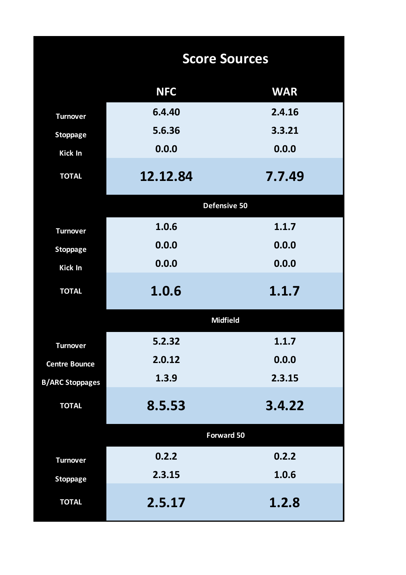|                        | <b>Score Sources</b> |            |
|------------------------|----------------------|------------|
|                        | <b>NFC</b>           | <b>WAR</b> |
| <b>Turnover</b>        | 6.4.40               | 2.4.16     |
| <b>Stoppage</b>        | 5.6.36               | 3.3.21     |
| <b>Kick In</b>         | 0.0.0                | 0.0.0      |
| <b>TOTAL</b>           | 12.12.84             | 7.7.49     |
|                        | Defensive 50         |            |
| <b>Turnover</b>        | 1.0.6                | 1.1.7      |
| <b>Stoppage</b>        | 0.0.0                | 0.0.0      |
| <b>Kick In</b>         | 0.0.0                | 0.0.0      |
| <b>TOTAL</b>           | 1.0.6                | 1.1.7      |
|                        | <b>Midfield</b>      |            |
| <b>Turnover</b>        | 5.2.32               | 1.1.7      |
| <b>Centre Bounce</b>   | 2.0.12               | 0.0.0      |
| <b>B/ARC Stoppages</b> | 1.3.9                | 2.3.15     |
| <b>TOTAL</b>           | 8.5.53               | 3.4.22     |
|                        | <b>Forward 50</b>    |            |
| <b>Turnover</b>        | 0.2.2                | 0.2.2      |
| <b>Stoppage</b>        | 2.3.15               | 1.0.6      |
| <b>TOTAL</b>           | 2.5.17               | 1.2.8      |